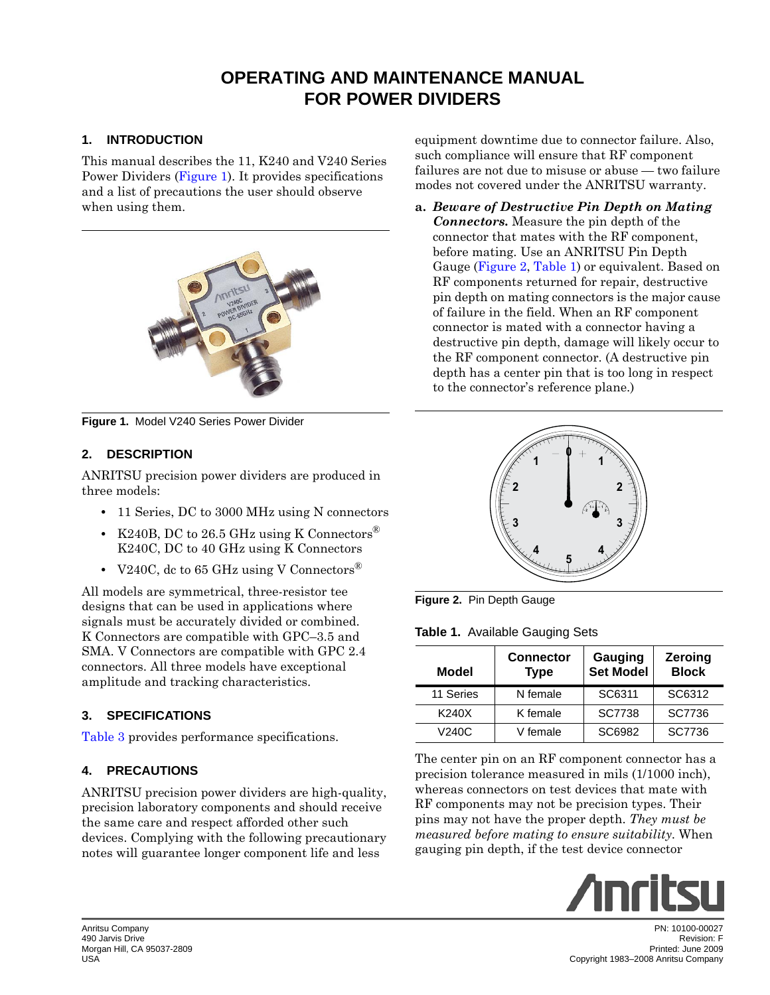# **OPERATING AND MAINTENANCE MANUAL FOR POWER DIVIDERS**

## **1. INTRODUCTION**

This manual describes the 11, K240 and V240 Series Power Dividers [\(Figure 1](#page-0-0)). It provides specifications and a list of precautions the user should observe when using them.



**Figure 1.** Model V240 Series Power Divider

### <span id="page-0-0"></span>**2. DESCRIPTION**

ANRITSU precision power dividers are produced in three models:

- 11 Series, DC to 3000 MHz using N connectors
- K240B, DC to 26.5 GHz using K Connectors<sup>®</sup> K240C, DC to 40 GHz using K Connectors
- V240C, dc to 65 GHz using V Connectors<sup>®</sup>

All models are symmetrical, three-resistor tee designs that can be used in applications where signals must be accurately divided or combined. K Connectors are compatible with GPC–3.5 and SMA. V Connectors are compatible with GPC 2.4 connectors. All three models have exceptional amplitude and tracking characteristics.

# **3. SPECIFICATIONS**

[Table 3](#page-2-0) provides performance specifications.

### **4. PRECAUTIONS**

ANRITSU precision power dividers are high-quality, precision laboratory components and should receive the same care and respect afforded other such devices. Complying with the following precautionary notes will guarantee longer component life and less

equipment downtime due to connector failure. Also, such compliance will ensure that RF component failures are not due to misuse or abuse — two failure modes not covered under the ANRITSU warranty.

**a.** *Beware of Destructive Pin Depth on Mating Connectors.* Measure the pin depth of the connector that mates with the RF component, before mating. Use an ANRITSU Pin Depth Gauge [\(Figure 2](#page-0-1), [Table 1\)](#page-0-2) or equivalent. Based on RF components returned for repair, destructive pin depth on mating connectors is the major cause of failure in the field. When an RF component connector is mated with a connector having a destructive pin depth, damage will likely occur to the RF component connector. (A destructive pin depth has a center pin that is too long in respect to the connector's reference plane.)



**Figure 2.** Pin Depth Gauge

<span id="page-0-2"></span><span id="page-0-1"></span>**Table 1.** Available Gauging Sets

| <b>Model</b> | <b>Connector</b><br><b>Type</b> | Gauging<br>Set Model | Zeroing<br><b>Block</b> |
|--------------|---------------------------------|----------------------|-------------------------|
| 11 Series    | N female                        | SC6311               | SC6312                  |
| K240X        | K female                        | SC7738               | SC7736                  |
| V240C        | V female                        | SC6982               | SC7736                  |

The center pin on an RF component connector has a precision tolerance measured in mils (1/1000 inch), whereas connectors on test devices that mate with RF components may not be precision types. Their pins may not have the proper depth. *They must be measured before mating to ensure suitability.* When gauging pin depth, if the test device connector

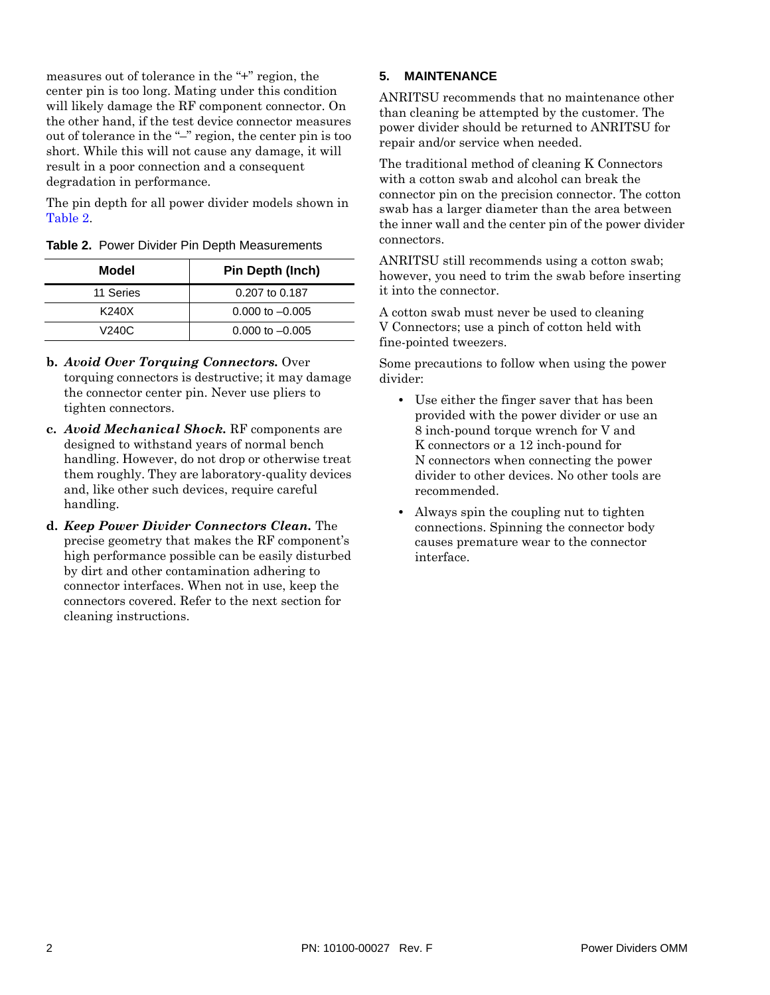measures out of tolerance in the "+" region, the center pin is too long. Mating under this condition will likely damage the RF component connector. On the other hand, if the test device connector measures out of tolerance in the "–" region, the center pin is too short. While this will not cause any damage, it will result in a poor connection and a consequent degradation in performance.

The pin depth for all power divider models shown in [Table 2.](#page-1-0)

<span id="page-1-0"></span>

|  |  | <b>Table 2. Power Divider Pin Depth Measurements</b> |
|--|--|------------------------------------------------------|
|  |  |                                                      |

| Model             | <b>Pin Depth (Inch)</b> |
|-------------------|-------------------------|
| 11 Series         | 0.207 to 0.187          |
| K240X             | $0.000$ to $-0.005$     |
| V <sub>240C</sub> | $0.000$ to $-0.005$     |

- **b.** *Avoid Over Torquing Connectors.* Over torquing connectors is destructive; it may damage the connector center pin. Never use pliers to tighten connectors.
- **c.** *Avoid Mechanical Shock.* RF components are designed to withstand years of normal bench handling. However, do not drop or otherwise treat them roughly. They are laboratory-quality devices and, like other such devices, require careful handling.
- **d.** *Keep Power Divider Connectors Clean.* The precise geometry that makes the RF component's high performance possible can be easily disturbed by dirt and other contamination adhering to connector interfaces. When not in use, keep the connectors covered. Refer to the next section for cleaning instructions.

### **5. MAINTENANCE**

ANRITSU recommends that no maintenance other than cleaning be attempted by the customer. The power divider should be returned to ANRITSU for repair and/or service when needed.

The traditional method of cleaning K Connectors with a cotton swab and alcohol can break the connector pin on the precision connector. The cotton swab has a larger diameter than the area between the inner wall and the center pin of the power divider connectors.

ANRITSU still recommends using a cotton swab; however, you need to trim the swab before inserting it into the connector.

A cotton swab must never be used to cleaning V Connectors; use a pinch of cotton held with fine-pointed tweezers.

Some precautions to follow when using the power divider:

- **•** Use either the finger saver that has been provided with the power divider or use an 8 inch-pound torque wrench for V and K connectors or a 12 inch-pound for N connectors when connecting the power divider to other devices. No other tools are recommended.
- **•** Always spin the coupling nut to tighten connections. Spinning the connector body causes premature wear to the connector interface.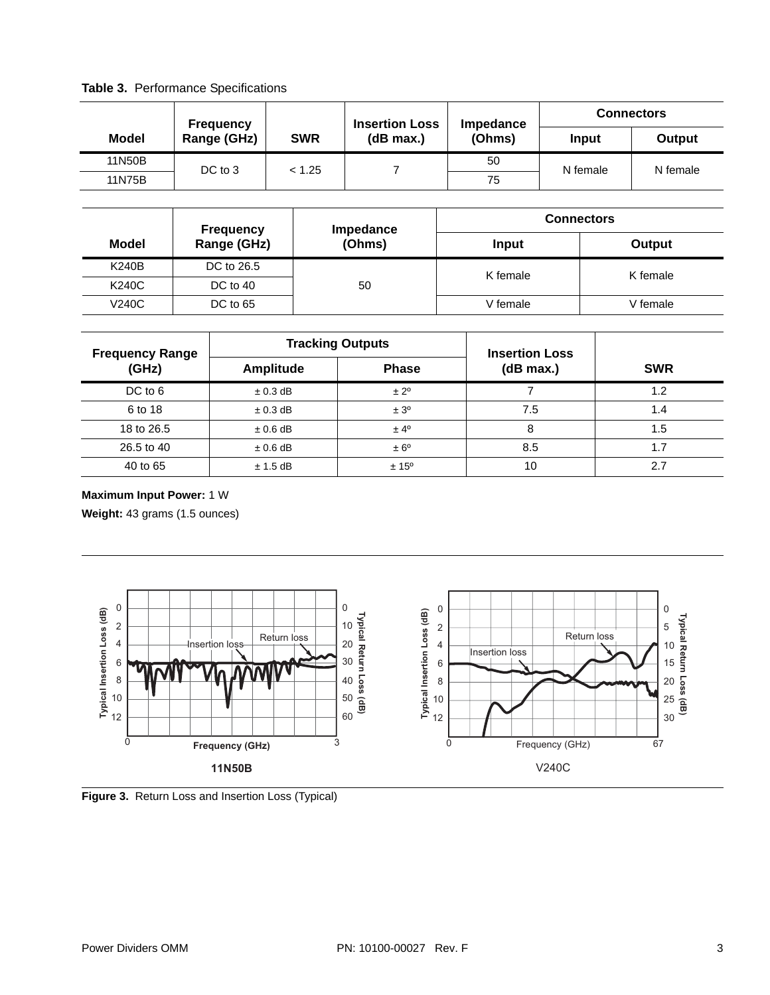<span id="page-2-0"></span>**Table 3.** Performance Specifications

|        | <b>Frequency</b>                       |        | <b>Connectors</b><br><b>Insertion Loss</b><br>Impedance |        |          |          |
|--------|----------------------------------------|--------|---------------------------------------------------------|--------|----------|----------|
| Model  | Range (GHz)<br><b>SWR</b><br>(dB max.) | (Ohms) | Input                                                   | Output |          |          |
| 11N50B | DC to 3<br>< 1.25                      |        |                                                         | 50     | N female | N female |
| 11N75B |                                        |        | 75                                                      |        |          |          |

| <b>Frequency</b> |             | Impedance | <b>Connectors</b> |          |  |
|------------------|-------------|-----------|-------------------|----------|--|
| Model            | Range (GHz) | (Ohms)    | Input             | Output   |  |
| K240B            | DC to 26.5  | 50        | K female          | K female |  |
| K240C            | DC to 40    |           |                   |          |  |
| V240C            | DC to 65    |           | V female          | V female |  |

| <b>Frequency Range</b><br>(GHz) |              | <b>Tracking Outputs</b> | <b>Insertion Loss</b> |            |  |
|---------------------------------|--------------|-------------------------|-----------------------|------------|--|
|                                 | Amplitude    | <b>Phase</b>            | (dB max.)             | <b>SWR</b> |  |
| DC to 6                         | $\pm$ 0.3 dB | $\pm 2^{\circ}$         |                       | 1.2        |  |
| 6 to 18                         | $\pm$ 0.3 dB | ± 3 <sup>o</sup>        | 7.5                   | 1.4        |  |
| 18 to 26.5                      | $\pm 0.6$ dB | $± 4^{\circ}$           | 8                     | 1.5        |  |
| 26.5 to 40                      | $\pm 0.6$ dB | $\pm 6^{\circ}$         | 8.5                   | 1.7        |  |
| 40 to 65                        | $± 1.5$ dB   | $± 15^{\circ}$          | 10                    | 2.7        |  |

#### **Maximum Input Power:** 1 W

**Weight:** 43 grams (1.5 ounces)



**Figure 3.** Return Loss and Insertion Loss (Typical)